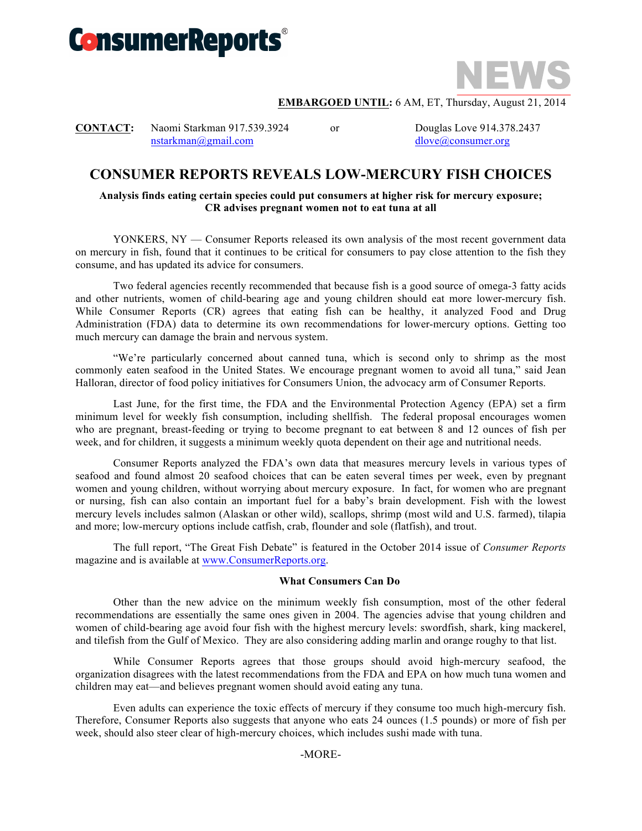



### **EMBARGOED UNTIL:** 6 AM, ET, Thursday, August 21, 2014

**CONTACT:** Naomi Starkman 917.539.3924 or Douglas Love 914.378.2437 nstarkman@gmail.com dlove@consumer.org

# **CONSUMER REPORTS REVEALS LOW-MERCURY FISH CHOICES**

## **Analysis finds eating certain species could put consumers at higher risk for mercury exposure; CR advises pregnant women not to eat tuna at all**

YONKERS, NY — Consumer Reports released its own analysis of the most recent government data on mercury in fish, found that it continues to be critical for consumers to pay close attention to the fish they consume, and has updated its advice for consumers.

Two federal agencies recently recommended that because fish is a good source of omega-3 fatty acids and other nutrients, women of child-bearing age and young children should eat more lower-mercury fish. While Consumer Reports (CR) agrees that eating fish can be healthy, it analyzed Food and Drug Administration (FDA) data to determine its own recommendations for lower-mercury options. Getting too much mercury can damage the brain and nervous system.

"We're particularly concerned about canned tuna, which is second only to shrimp as the most commonly eaten seafood in the United States. We encourage pregnant women to avoid all tuna," said Jean Halloran, director of food policy initiatives for Consumers Union, the advocacy arm of Consumer Reports.

Last June, for the first time, the FDA and the Environmental Protection Agency (EPA) set a firm minimum level for weekly fish consumption, including shellfish. The federal proposal encourages women who are pregnant, breast-feeding or trying to become pregnant to eat between 8 and 12 ounces of fish per week, and for children, it suggests a minimum weekly quota dependent on their age and nutritional needs.

Consumer Reports analyzed the FDA's own data that measures mercury levels in various types of seafood and found almost 20 seafood choices that can be eaten several times per week, even by pregnant women and young children, without worrying about mercury exposure. In fact, for women who are pregnant or nursing, fish can also contain an important fuel for a baby's brain development. Fish with the lowest mercury levels includes salmon (Alaskan or other wild), scallops, shrimp (most wild and U.S. farmed), tilapia and more; low-mercury options include catfish, crab, flounder and sole (flatfish), and trout.

The full report, "The Great Fish Debate" is featured in the October 2014 issue of *Consumer Reports*  magazine and is available at www.ConsumerReports.org.

## **What Consumers Can Do**

Other than the new advice on the minimum weekly fish consumption, most of the other federal recommendations are essentially the same ones given in 2004. The agencies advise that young children and women of child-bearing age avoid four fish with the highest mercury levels: swordfish, shark, king mackerel, and tilefish from the Gulf of Mexico. They are also considering adding marlin and orange roughy to that list.

While Consumer Reports agrees that those groups should avoid high-mercury seafood, the organization disagrees with the latest recommendations from the FDA and EPA on how much tuna women and children may eat—and believes pregnant women should avoid eating any tuna.

Even adults can experience the toxic effects of mercury if they consume too much high-mercury fish. Therefore, Consumer Reports also suggests that anyone who eats 24 ounces (1.5 pounds) or more of fish per week, should also steer clear of high-mercury choices, which includes sushi made with tuna.